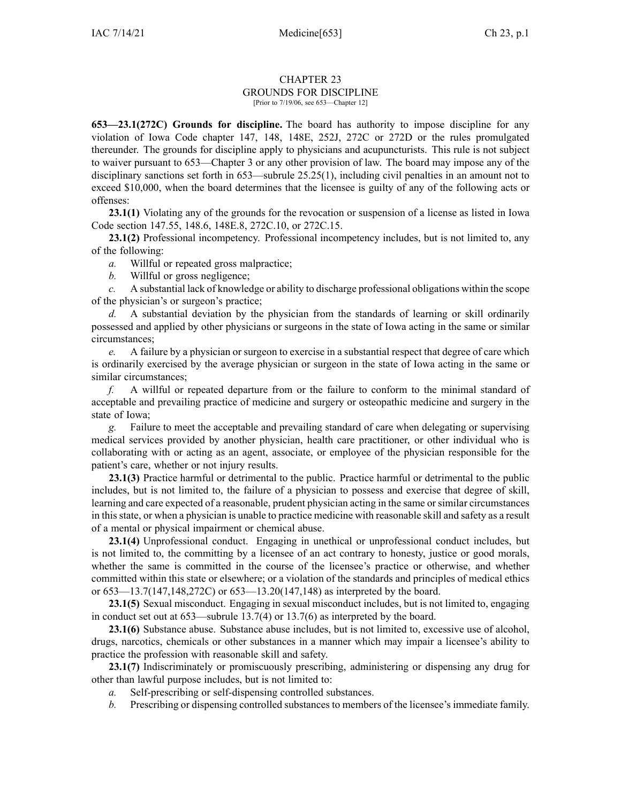## CHAPTER 23 GROUNDS FOR DISCIPLINE [Prior to 7/19/06, see 653—Chapter 12]

**653—23.1(272C) Grounds for discipline.** The board has authority to impose discipline for any violation of Iowa Code chapter [147](https://www.legis.iowa.gov/docs/ico/chapter/147.pdf), [148](https://www.legis.iowa.gov/docs/ico/chapter/148.pdf), [148E](https://www.legis.iowa.gov/docs/ico/chapter/148E.pdf), [252J](https://www.legis.iowa.gov/docs/ico/chapter/252J.pdf), [272C](https://www.legis.iowa.gov/docs/ico/chapter/272C.pdf) or [272D](https://www.legis.iowa.gov/docs/ico/chapter/272D.pdf) or the rules promulgated thereunder. The grounds for discipline apply to physicians and acupuncturists. This rule is not subject to waiver pursuan<sup>t</sup> to [653—Chapter](https://www.legis.iowa.gov/docs/iac/chapter/653.3.pdf) 3 or any other provision of law. The board may impose any of the disciplinary sanctions set forth in [653—subrule](https://www.legis.iowa.gov/docs/iac/rule/653.25.25.pdf) 25.25(1), including civil penalties in an amount not to exceed \$10,000, when the board determines that the licensee is guilty of any of the following acts or offenses:

**23.1(1)** Violating any of the grounds for the revocation or suspension of <sup>a</sup> license as listed in Iowa Code section [147.55](https://www.legis.iowa.gov/docs/ico/section/147.55.pdf), [148.6](https://www.legis.iowa.gov/docs/ico/section/148.6.pdf), [148E.8](https://www.legis.iowa.gov/docs/ico/section/148E.8.pdf), [272C.10](https://www.legis.iowa.gov/docs/ico/section/272C.10.pdf), or [272C.15](https://www.legis.iowa.gov/docs/ico/section/272C.15.pdf).

**23.1(2)** Professional incompetency. Professional incompetency includes, but is not limited to, any of the following:

*a.* Willful or repeated gross malpractice;

*b.* Willful or gross negligence;

*c.* A substantial lack of knowledge or ability to discharge professional obligations within the scope of the physician's or surgeon's practice;

*d.* A substantial deviation by the physician from the standards of learning or skill ordinarily possessed and applied by other physicians or surgeons in the state of Iowa acting in the same or similar circumstances;

*e.* A failure by <sup>a</sup> physician or surgeon to exercise in <sup>a</sup> substantial respec<sup>t</sup> that degree of care which is ordinarily exercised by the average physician or surgeon in the state of Iowa acting in the same or similar circumstances;

*f.* A willful or repeated departure from or the failure to conform to the minimal standard of acceptable and prevailing practice of medicine and surgery or osteopathic medicine and surgery in the state of Iowa;

*g.* Failure to meet the acceptable and prevailing standard of care when delegating or supervising medical services provided by another physician, health care practitioner, or other individual who is collaborating with or acting as an agent, associate, or employee of the physician responsible for the patient's care, whether or not injury results.

**23.1(3)** Practice harmful or detrimental to the public. Practice harmful or detrimental to the public includes, but is not limited to, the failure of <sup>a</sup> physician to possess and exercise that degree of skill, learning and care expected of <sup>a</sup> reasonable, prudent physician acting in the same orsimilar circumstances in thisstate, or when <sup>a</sup> physician is unable to practice medicine with reasonable skill and safety as <sup>a</sup> result of <sup>a</sup> mental or physical impairment or chemical abuse.

**23.1(4)** Unprofessional conduct. Engaging in unethical or unprofessional conduct includes, but is not limited to, the committing by <sup>a</sup> licensee of an act contrary to honesty, justice or good morals, whether the same is committed in the course of the licensee's practice or otherwise, and whether committed within this state or elsewhere; or <sup>a</sup> violation of the standards and principles of medical ethics or [653—13.7](https://www.legis.iowa.gov/docs/iac/rule/653.13.7.pdf)(147,148,272C) or [653—13.20](https://www.legis.iowa.gov/docs/iac/rule/653.13.20.pdf)(147,148) as interpreted by the board.

**23.1(5)** Sexual misconduct. Engaging in sexual misconduct includes, but is not limited to, engaging in conduct set out at [653—subrule](https://www.legis.iowa.gov/docs/iac/rule/653.13.7.pdf) 13.7(4) or [13.7\(6\)](https://www.legis.iowa.gov/docs/iac/rule/653.13.7.pdf) as interpreted by the board.

**23.1(6)** Substance abuse. Substance abuse includes, but is not limited to, excessive use of alcohol, drugs, narcotics, chemicals or other substances in <sup>a</sup> manner which may impair <sup>a</sup> licensee's ability to practice the profession with reasonable skill and safety.

**23.1(7)** Indiscriminately or promiscuously prescribing, administering or dispensing any drug for other than lawful purpose includes, but is not limited to:

- *a.* Self-prescribing or self-dispensing controlled substances.
- *b.* Prescribing or dispensing controlled substances to members of the licensee's immediate family.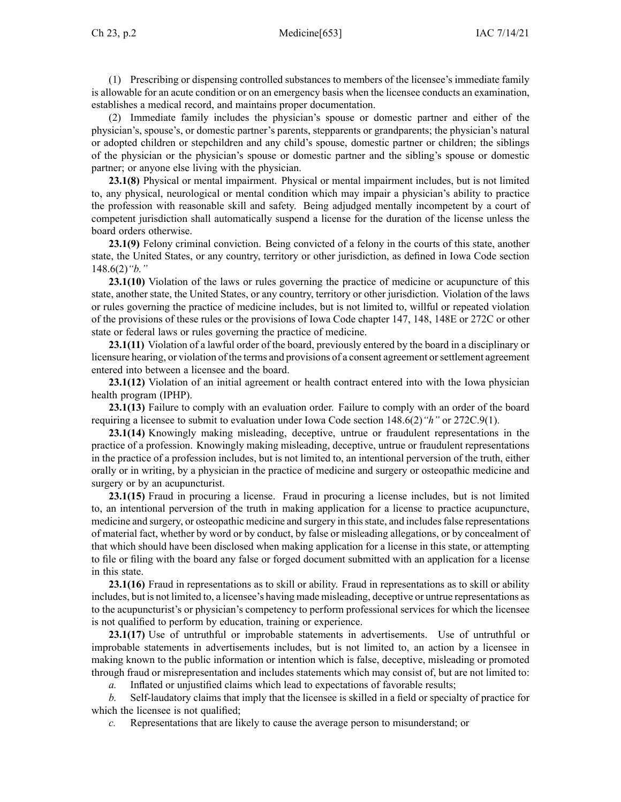(1) Prescribing or dispensing controlled substances to members of the licensee's immediate family is allowable for an acute condition or on an emergency basis when the licensee conducts an examination, establishes <sup>a</sup> medical record, and maintains proper documentation.

(2) Immediate family includes the physician's spouse or domestic partner and either of the physician's, spouse's, or domestic partner's parents, stepparents or grandparents; the physician's natural or adopted children or stepchildren and any child's spouse, domestic partner or children; the siblings of the physician or the physician's spouse or domestic partner and the sibling's spouse or domestic partner; or anyone else living with the physician.

**23.1(8)** Physical or mental impairment. Physical or mental impairment includes, but is not limited to, any physical, neurological or mental condition which may impair <sup>a</sup> physician's ability to practice the profession with reasonable skill and safety. Being adjudged mentally incompetent by <sup>a</sup> court of competent jurisdiction shall automatically suspend <sup>a</sup> license for the duration of the license unless the board orders otherwise.

**23.1(9)** Felony criminal conviction. Being convicted of <sup>a</sup> felony in the courts of this state, another state, the United States, or any country, territory or other jurisdiction, as defined in Iowa Code section [148.6\(2\)](https://www.legis.iowa.gov/docs/ico/section/148.6.pdf)*"b."*

**23.1(10)** Violation of the laws or rules governing the practice of medicine or acupuncture of this state, another state, the United States, or any country, territory or other jurisdiction. Violation of the laws or rules governing the practice of medicine includes, but is not limited to, willful or repeated violation of the provisions of these rules or the provisions of Iowa Code chapter [147](https://www.legis.iowa.gov/docs/ico/chapter/147.pdf), [148](https://www.legis.iowa.gov/docs/ico/chapter/148.pdf), [148E](https://www.legis.iowa.gov/docs/ico/chapter/148E.pdf) or [272C](https://www.legis.iowa.gov/docs/ico/chapter/272C.pdf) or other state or federal laws or rules governing the practice of medicine.

**23.1(11)** Violation of <sup>a</sup> lawful order of the board, previously entered by the board in <sup>a</sup> disciplinary or licensure hearing, or violation of the terms and provisions of a consent agreement or settlement agreement entered into between <sup>a</sup> licensee and the board.

**23.1(12)** Violation of an initial agreemen<sup>t</sup> or health contract entered into with the Iowa physician health program (IPHP).

**23.1(13)** Failure to comply with an evaluation order. Failure to comply with an order of the board requiring <sup>a</sup> licensee to submit to evaluation under Iowa Code section [148.6\(2\)](https://www.legis.iowa.gov/docs/ico/section/148.6.pdf)*"h"* or [272C.9\(1\)](https://www.legis.iowa.gov/docs/ico/section/272C.9.pdf).

**23.1(14)** Knowingly making misleading, deceptive, untrue or fraudulent representations in the practice of <sup>a</sup> profession. Knowingly making misleading, deceptive, untrue or fraudulent representations in the practice of <sup>a</sup> profession includes, but is not limited to, an intentional perversion of the truth, either orally or in writing, by <sup>a</sup> physician in the practice of medicine and surgery or osteopathic medicine and surgery or by an acupuncturist.

**23.1(15)** Fraud in procuring <sup>a</sup> license. Fraud in procuring <sup>a</sup> license includes, but is not limited to, an intentional perversion of the truth in making application for <sup>a</sup> license to practice acupuncture, medicine and surgery, or osteopathic medicine and surgery in this state, and includes false representations of material fact, whether by word or by conduct, by false or misleading allegations, or by concealment of that which should have been disclosed when making application for <sup>a</sup> license in this state, or attempting to file or filing with the board any false or forged document submitted with an application for <sup>a</sup> license in this state.

**23.1(16)** Fraud in representations as to skill or ability. Fraud in representations as to skill or ability includes, but is not limited to, <sup>a</sup> licensee's having made misleading, deceptive or untrue representations as to the acupuncturist's or physician's competency to perform professional services for which the licensee is not qualified to perform by education, training or experience.

**23.1(17)** Use of untruthful or improbable statements in advertisements. Use of untruthful or improbable statements in advertisements includes, but is not limited to, an action by <sup>a</sup> licensee in making known to the public information or intention which is false, deceptive, misleading or promoted through fraud or misrepresentation and includes statements which may consist of, but are not limited to:

*a.* Inflated or unjustified claims which lead to expectations of favorable results;

*b.* Self-laudatory claims that imply that the licensee is skilled in <sup>a</sup> field or specialty of practice for which the licensee is not qualified;

*c.* Representations that are likely to cause the average person to misunderstand; or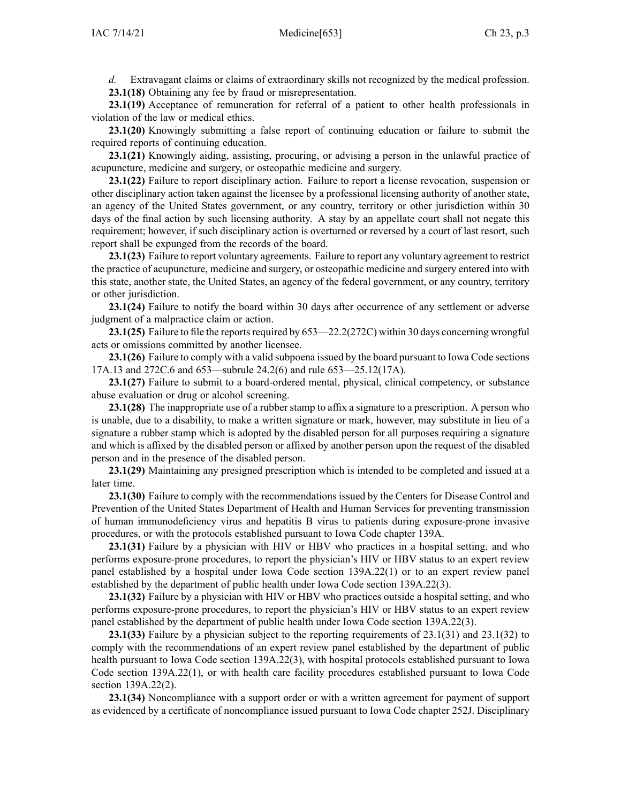*d.* Extravagant claims or claims of extraordinary skills not recognized by the medical profession. **23.1(18)** Obtaining any fee by fraud or misrepresentation.

**23.1(19)** Acceptance of remuneration for referral of <sup>a</sup> patient to other health professionals in violation of the law or medical ethics.

**23.1(20)** Knowingly submitting <sup>a</sup> false repor<sup>t</sup> of continuing education or failure to submit the required reports of continuing education.

**23.1(21)** Knowingly aiding, assisting, procuring, or advising <sup>a</sup> person in the unlawful practice of acupuncture, medicine and surgery, or osteopathic medicine and surgery.

**23.1(22)** Failure to repor<sup>t</sup> disciplinary action. Failure to repor<sup>t</sup> <sup>a</sup> license revocation, suspension or other disciplinary action taken against the licensee by <sup>a</sup> professional licensing authority of another state, an agency of the United States government, or any country, territory or other jurisdiction within 30 days of the final action by such licensing authority. A stay by an appellate court shall not negate this requirement; however, if such disciplinary action is overturned or reversed by <sup>a</sup> court of last resort, such repor<sup>t</sup> shall be expunged from the records of the board.

**23.1(23)** Failure to repor<sup>t</sup> voluntary agreements. Failure to repor<sup>t</sup> any voluntary agreemen<sup>t</sup> to restrict the practice of acupuncture, medicine and surgery, or osteopathic medicine and surgery entered into with this state, another state, the United States, an agency of the federal government, or any country, territory or other jurisdiction.

**23.1(24)** Failure to notify the board within 30 days after occurrence of any settlement or adverse judgment of <sup>a</sup> malpractice claim or action.

**23.1(25)** Failure to file the reports required by [653—22.2\(272C\)](https://www.legis.iowa.gov/docs/iac/rule/653.22.2.pdf) within 30 days concerning wrongful acts or omissions committed by another licensee.

**23.1(26)** Failure to comply with <sup>a</sup> valid subpoena issued by the board pursuan<sup>t</sup> to Iowa Code sections [17A.13](https://www.legis.iowa.gov/docs/ico/section/17A.13.pdf) and [272C.6](https://www.legis.iowa.gov/docs/ico/section/272C.6.pdf) and [653—subrule](https://www.legis.iowa.gov/docs/iac/rule/653.24.2.pdf) 24.2(6) and rule [653—25.12\(17A\)](https://www.legis.iowa.gov/docs/iac/rule/653.25.12.pdf).

**23.1(27)** Failure to submit to <sup>a</sup> board-ordered mental, physical, clinical competency, or substance abuse evaluation or drug or alcohol screening.

**23.1(28)** The inappropriate use of <sup>a</sup> rubber stamp to affix <sup>a</sup> signature to <sup>a</sup> prescription. A person who is unable, due to <sup>a</sup> disability, to make <sup>a</sup> written signature or mark, however, may substitute in lieu of <sup>a</sup> signature <sup>a</sup> rubber stamp which is adopted by the disabled person for all purposes requiring <sup>a</sup> signature and which is affixed by the disabled person or affixed by another person upon the reques<sup>t</sup> of the disabled person and in the presence of the disabled person.

**23.1(29)** Maintaining any presigned prescription which is intended to be completed and issued at <sup>a</sup> later time.

**23.1(30)** Failure to comply with the recommendations issued by the Centers for Disease Control and Prevention of the United States Department of Health and Human Services for preventing transmission of human immunodeficiency virus and hepatitis B virus to patients during exposure-prone invasive procedures, or with the protocols established pursuan<sup>t</sup> to Iowa Code chapter [139A](https://www.legis.iowa.gov/docs/ico/chapter/139A.pdf).

**23.1(31)** Failure by <sup>a</sup> physician with HIV or HBV who practices in <sup>a</sup> hospital setting, and who performs exposure-prone procedures, to repor<sup>t</sup> the physician's HIV or HBV status to an exper<sup>t</sup> review panel established by <sup>a</sup> hospital under Iowa Code section [139A.22\(1\)](https://www.legis.iowa.gov/docs/ico/section/139A.22.pdf) or to an exper<sup>t</sup> review panel established by the department of public health under Iowa Code section [139A.22\(3\)](https://www.legis.iowa.gov/docs/ico/section/139A.22.pdf).

**23.1(32)** Failure by <sup>a</sup> physician with HIV or HBV who practices outside <sup>a</sup> hospital setting, and who performs exposure-prone procedures, to repor<sup>t</sup> the physician's HIV or HBV status to an exper<sup>t</sup> review panel established by the department of public health under Iowa Code section [139A.22\(3\)](https://www.legis.iowa.gov/docs/ico/section/139A.22.pdf).

**23.1(33)** Failure by <sup>a</sup> physician subject to the reporting requirements of [23.1\(31\)](https://www.legis.iowa.gov/docs/iac/rule/653.23.1.pdf) and [23.1\(32\)](https://www.legis.iowa.gov/docs/iac/rule/653.23.1.pdf) to comply with the recommendations of an exper<sup>t</sup> review panel established by the department of public health pursuan<sup>t</sup> to Iowa Code section [139A.22\(3\)](https://www.legis.iowa.gov/docs/ico/section/139A.22.pdf), with hospital protocols established pursuan<sup>t</sup> to Iowa Code section [139A.22\(1\)](https://www.legis.iowa.gov/docs/ico/section/139A.22.pdf), or with health care facility procedures established pursuan<sup>t</sup> to Iowa Code section [139A.22\(2\)](https://www.legis.iowa.gov/docs/ico/section/139A.22.pdf).

**23.1(34)** Noncompliance with <sup>a</sup> suppor<sup>t</sup> order or with <sup>a</sup> written agreemen<sup>t</sup> for paymen<sup>t</sup> of suppor<sup>t</sup> as evidenced by <sup>a</sup> certificate of noncompliance issued pursuan<sup>t</sup> to Iowa Code chapter [252J](https://www.legis.iowa.gov/docs/ico/chapter/252J.pdf). Disciplinary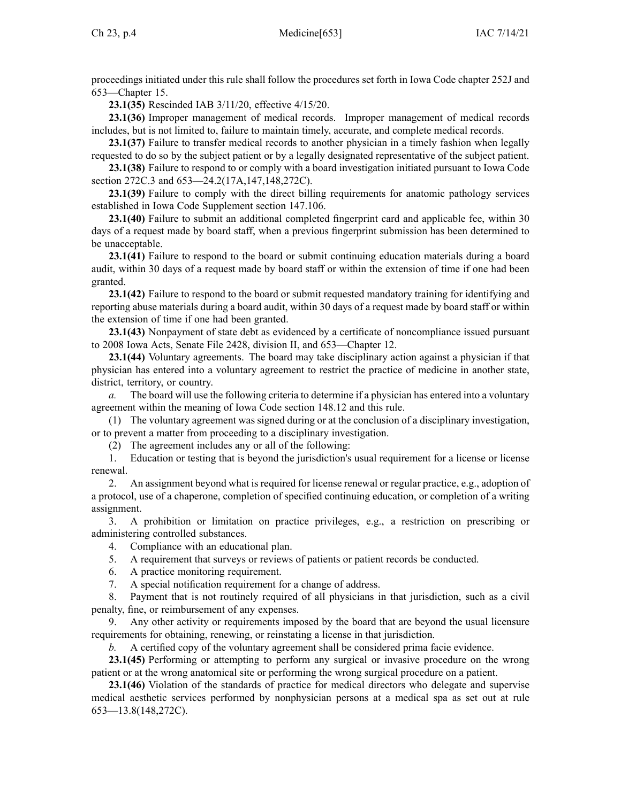proceedings initiated under this rule shall follow the procedures set forth in Iowa Code chapter [252J](https://www.legis.iowa.gov/docs/ico/chapter/252J.pdf) and [653—Chapter](https://www.legis.iowa.gov/docs/iac/chapter/653.15.pdf) 15.

**23.1(35)** Rescinded IAB [3/11/20](https://www.legis.iowa.gov/docs/aco/bulletin/03-11-2020.pdf), effective 4/15/20.

**23.1(36)** Improper managemen<sup>t</sup> of medical records. Improper managemen<sup>t</sup> of medical records includes, but is not limited to, failure to maintain timely, accurate, and complete medical records.

**23.1(37)** Failure to transfer medical records to another physician in <sup>a</sup> timely fashion when legally requested to do so by the subject patient or by <sup>a</sup> legally designated representative of the subject patient.

**23.1(38)** Failure to respond to or comply with <sup>a</sup> board investigation initiated pursuan<sup>t</sup> to Iowa Code section [272C.3](https://www.legis.iowa.gov/docs/ico/section/272C.3.pdf) and [653—24.2](https://www.legis.iowa.gov/docs/iac/rule/653.24.2.pdf)(17A,147,148,272C).

**23.1(39)** Failure to comply with the direct billing requirements for anatomic pathology services established in Iowa Code Supplement section [147.106](https://www.legis.iowa.gov/docs/ico/section/147.106.pdf).

**23.1(40)** Failure to submit an additional completed fingerprint card and applicable fee, within 30 days of <sup>a</sup> reques<sup>t</sup> made by board staff, when <sup>a</sup> previous fingerprint submission has been determined to be unacceptable.

**23.1(41)** Failure to respond to the board or submit continuing education materials during <sup>a</sup> board audit, within 30 days of <sup>a</sup> reques<sup>t</sup> made by board staff or within the extension of time if one had been granted.

**23.1(42)** Failure to respond to the board or submit requested mandatory training for identifying and reporting abuse materials during <sup>a</sup> board audit, within 30 days of <sup>a</sup> reques<sup>t</sup> made by board staff or within the extension of time if one had been granted.

**23.1(43)** Nonpayment of state debt as evidenced by <sup>a</sup> certificate of noncompliance issued pursuan<sup>t</sup> to 2008 Iowa Acts, Senate File 2428, division II, and [653—Chapter](https://www.legis.iowa.gov/docs/iac/chapter/653.12.pdf) 12.

**23.1(44)** Voluntary agreements. The board may take disciplinary action against <sup>a</sup> physician if that physician has entered into <sup>a</sup> voluntary agreemen<sup>t</sup> to restrict the practice of medicine in another state, district, territory, or country.

*a.* The board will use the following criteria to determine if <sup>a</sup> physician has entered into <sup>a</sup> voluntary agreemen<sup>t</sup> within the meaning of Iowa Code section [148.12](https://www.legis.iowa.gov/docs/ico/section/148.12.pdf) and this rule.

(1) The voluntary agreemen<sup>t</sup> was signed during or at the conclusion of <sup>a</sup> disciplinary investigation, or to preven<sup>t</sup> <sup>a</sup> matter from proceeding to <sup>a</sup> disciplinary investigation.

(2) The agreemen<sup>t</sup> includes any or all of the following:

1. Education or testing that is beyond the jurisdiction's usual requirement for <sup>a</sup> license or license renewal.

2. An assignment beyond what is required for license renewal or regular practice, e.g., adoption of <sup>a</sup> protocol, use of <sup>a</sup> chaperone, completion of specified continuing education, or completion of <sup>a</sup> writing assignment.

3. A prohibition or limitation on practice privileges, e.g., <sup>a</sup> restriction on prescribing or administering controlled substances.

4. Compliance with an educational plan.

5. A requirement that surveys or reviews of patients or patient records be conducted.

6. A practice monitoring requirement.

7. A special notification requirement for <sup>a</sup> change of address.

8. Payment that is not routinely required of all physicians in that jurisdiction, such as <sup>a</sup> civil penalty, fine, or reimbursement of any expenses.

9. Any other activity or requirements imposed by the board that are beyond the usual licensure requirements for obtaining, renewing, or reinstating <sup>a</sup> license in that jurisdiction.

*b.* A certified copy of the voluntary agreemen<sup>t</sup> shall be considered prima facie evidence.

**23.1(45)** Performing or attempting to perform any surgical or invasive procedure on the wrong patient or at the wrong anatomical site or performing the wrong surgical procedure on <sup>a</sup> patient.

**23.1(46)** Violation of the standards of practice for medical directors who delegate and supervise medical aesthetic services performed by nonphysician persons at <sup>a</sup> medical spa as set out at rule [653—13.8](https://www.legis.iowa.gov/docs/iac/rule/653.13.8.pdf)(148,272C).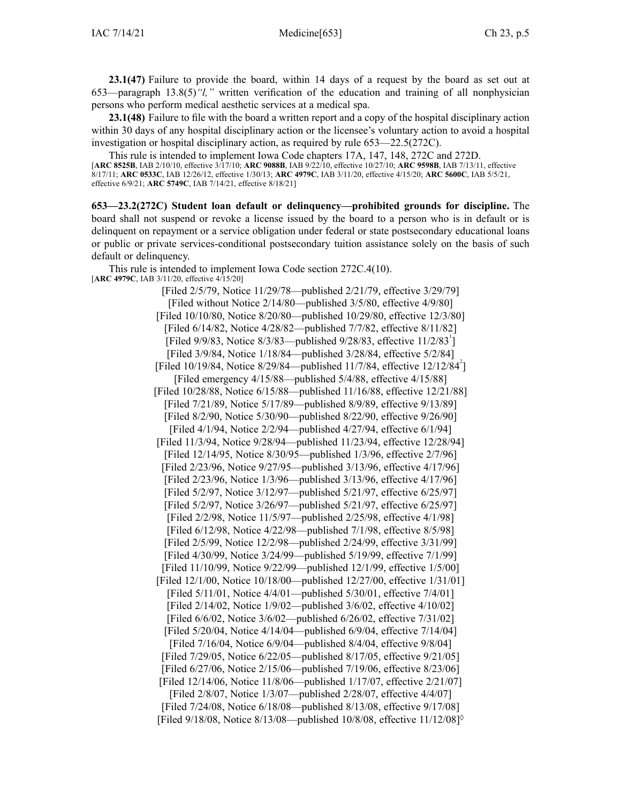**23.1(47)** Failure to provide the board, within 14 days of <sup>a</sup> reques<sup>t</sup> by the board as set out at [653—paragraph](https://www.legis.iowa.gov/docs/iac/rule/653.13.8.pdf) 13.8(5)*"l,"* written verification of the education and training of all nonphysician persons who perform medical aesthetic services at <sup>a</sup> medical spa.

**23.1(48)** Failure to file with the board <sup>a</sup> written repor<sup>t</sup> and <sup>a</sup> copy of the hospital disciplinary action within 30 days of any hospital disciplinary action or the licensee's voluntary action to avoid <sup>a</sup> hospital investigation or hospital disciplinary action, as required by rule [653—22.5](https://www.legis.iowa.gov/docs/iac/rule/653.22.5.pdf)(272C).

This rule is intended to implement Iowa Code chapters [17A](https://www.legis.iowa.gov/docs/ico/chapter/17A.pdf), [147](https://www.legis.iowa.gov/docs/ico/chapter/147.pdf), [148](https://www.legis.iowa.gov/docs/ico/chapter/148.pdf), [272C](https://www.legis.iowa.gov/docs/ico/chapter/272C.pdf) and 272D. [**ARC [8525B](https://www.legis.iowa.gov/docs/aco/arc/8525B.pdf)**, IAB 2/10/10, effective 3/17/10; **ARC [9088B](https://www.legis.iowa.gov/docs/aco/arc/9088B.pdf)**, IAB 9/22/10, effective 10/27/10; **ARC [9598B](https://www.legis.iowa.gov/docs/aco/arc/9598B.pdf)**, IAB 7/13/11, effective 8/17/11; **ARC [0533C](https://www.legis.iowa.gov/docs/aco/arc/0533C.pdf)**, IAB 12/26/12, effective 1/30/13; **ARC [4979C](https://www.legis.iowa.gov/docs/aco/arc/4979C.pdf)**, IAB 3/11/20, effective 4/15/20; **ARC [5600C](https://www.legis.iowa.gov/docs/aco/arc/5600C.pdf)**, IAB 5/5/21, effective 6/9/21; **ARC [5749C](https://www.legis.iowa.gov/docs/aco/arc/5749C.pdf)**, IAB 7/14/21, effective 8/18/21]

**653—23.2(272C) Student loan default or delinquency—prohibited grounds for discipline.** The board shall not suspend or revoke <sup>a</sup> license issued by the board to <sup>a</sup> person who is in default or is delinquent on repaymen<sup>t</sup> or <sup>a</sup> service obligation under federal or state postsecondary educational loans or public or private services-conditional postsecondary tuition assistance solely on the basis of such default or delinquency.

This rule is intended to implement Iowa Code section [272C.4\(10\)](https://www.legis.iowa.gov/docs/ico/section/272C.4.pdf). [**ARC [4979C](https://www.legis.iowa.gov/docs/aco/arc/4979C.pdf)**, IAB 3/11/20, effective 4/15/20]

> [Filed 2/5/79, Notice 11/29/78—published 2/21/79, effective 3/29/79] [Filed without Notice 2/14/80—published 3/5/80, effective 4/9/80] [Filed 10/10/80, Notice 8/20/80—published 10/29/80, effective 12/3/80] [Filed 6/14/82, Notice 4/28/82—published 7/7/82, effective 8/11/82] [Filed 9/9/83, Notice 8/3/83—published 9/28/83, effective  $11/2/83^{\text{T}}$ ] [Filed 3/9/84, Notice 1/18/84—published 3/28/84, effective 5/2/84] [Filed 10/19/84, Notice 8/29/84—published 11/7/84, effective  $12/12/84^2$ ] [Filed emergency 4/15/88—published 5/4/88, effective 4/15/88] [Filed 10/28/88, Notice 6/15/88—published 11/16/88, effective 12/21/88] [Filed 7/21/89, Notice 5/17/89—published 8/9/89, effective 9/13/89] [Filed 8/2/90, Notice 5/30/90—published 8/22/90, effective 9/26/90] [Filed 4/1/94, Notice 2/2/94—published 4/27/94, effective 6/1/94] [Filed 11/3/94, Notice 9/28/94—published 11/23/94, effective 12/28/94] [Filed 12/14/95, Notice 8/30/95—published 1/3/96, effective 2/7/96] [Filed 2/23/96, Notice 9/27/95—published 3/13/96, effective 4/17/96] [Filed 2/23/96, Notice 1/3/96—published 3/13/96, effective 4/17/96] [Filed 5/2/97, Notice 3/12/97—published 5/21/97, effective 6/25/97] [Filed 5/2/97, Notice 3/26/97—published 5/21/97, effective 6/25/97] [Filed 2/2/98, Notice 11/5/97—published 2/25/98, effective 4/1/98] [Filed 6/12/98, Notice 4/22/98—published 7/1/98, effective 8/5/98] [Filed 2/5/99, Notice 12/2/98—published 2/24/99, effective 3/31/99] [Filed 4/30/99, Notice 3/24/99—published 5/19/99, effective 7/1/99] [Filed 11/10/99, Notice 9/22/99—published 12/1/99, effective 1/5/00] [Filed 12/1/00, Notice 10/18/00—published 12/27/00, effective 1/31/01] [Filed 5/11/01, Notice 4/4/01—published 5/30/01, effective 7/4/01] [Filed 2/14/02, Notice 1/9/02—published 3/6/02, effective 4/10/02] [Filed 6/6/02, Notice 3/6/02—published 6/26/02, effective 7/31/02] [Filed 5/20/04, Notice 4/14/04—published 6/9/04, effective 7/14/04] [Filed 7/16/04, Notice 6/9/04—published 8/4/04, effective 9/8/04] [Filed 7/29/05, Notice 6/22/05—published 8/17/05, effective 9/21/05] [Filed 6/27/06, Notice 2/15/06—published 7/19/06, effective 8/23/06] [Filed 12/14/06, Notice 11/8/06—published 1/17/07, effective 2/21/07] [Filed 2/8/07, Notice 1/3/07—published 2/28/07, effective 4/4/07] [Filed 7/24/08, Notice 6/18/08—published 8/13/08, effective 9/17/08] [Filed 9/18/08, Notice 8/13/08—published 10/8/08, effective 11/12/08]◊